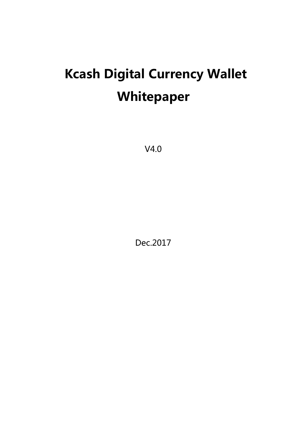# **Kcash Digital Currency Wallet Whitepaper**

V4.0

Dec.2017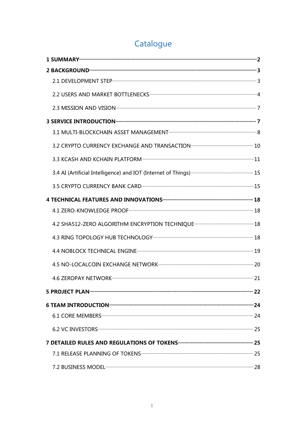## Catalogue

| 2.3 MISSION AND VISION <b>CONSUMING THE SET OF STATE OF A SET OF A SET OF STATE</b> 7      |  |
|--------------------------------------------------------------------------------------------|--|
|                                                                                            |  |
|                                                                                            |  |
|                                                                                            |  |
| 3.3 KCASH AND KCHAIN PLATFORM <b>With the CONSTRANT OF STATE AND KCASH</b>                 |  |
|                                                                                            |  |
|                                                                                            |  |
|                                                                                            |  |
|                                                                                            |  |
|                                                                                            |  |
|                                                                                            |  |
| 4.4 NOBLOCK TECHNICAL ENGINE <b>CONSUMING THE CONSUMING THE CONSUMING TECHNICAL</b> ENGINE |  |
|                                                                                            |  |
|                                                                                            |  |
|                                                                                            |  |
|                                                                                            |  |
|                                                                                            |  |
|                                                                                            |  |
|                                                                                            |  |
|                                                                                            |  |
|                                                                                            |  |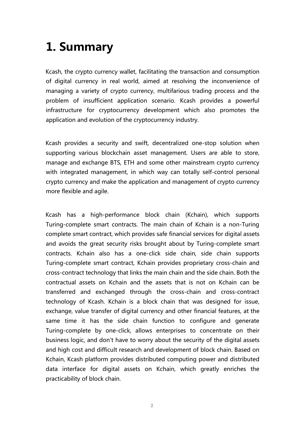## <span id="page-2-0"></span>**1. Summary**

Kcash, the crypto currency wallet, facilitating the transaction and consumption of digital currency in real world, aimed at resolving the inconvenience of managing a variety of crypto currency, multifarious trading process and the problem of insufficient application scenario. Kcash provides a powerful infrastructure for cryptocurrency development which also promotes the application and evolution of the cryptocurrency industry.

Kcash provides a security and swift, decentralized one-stop solution when supporting various blockchain asset management. Users are able to store, manage and exchange BTS, ETH and some other mainstream crypto currency with integrated management, in which way can totally self-control personal crypto currency and make the application and management of crypto currency more flexible and agile.

Kcash has a high-performance block chain (Kchain), which supports Turing-complete smart contracts. The main chain of Kchain is a non-Turing complete smart contract, which provides safe financial services for digital assets and avoids the great security risks brought about by Turing-complete smart contracts. Kchain also has a one-click side chain, side chain supports Turing-complete smart contract, Kchain provides proprietary cross-chain and cross-contract technology that links the main chain and the side chain. Both the contractual assets on Kchain and the assets that is not on Kchain can be transferred and exchanged through the cross-chain and cross-contract technology of Kcash. Kchain is a block chain that was designed for issue, exchange, value transfer of digital currency and other financial features, at the same time it has the side chain function to configure and generate Turing-complete by one-click, allows enterprises to concentrate on their business logic, and don't have to worry about the security of the digital assets and high cost and difficult research and development of block chain. Based on Kchain, Kcash platform provides distributed computing power and distributed data interface for digital assets on Kchain, which greatly enriches the practicability of block chain.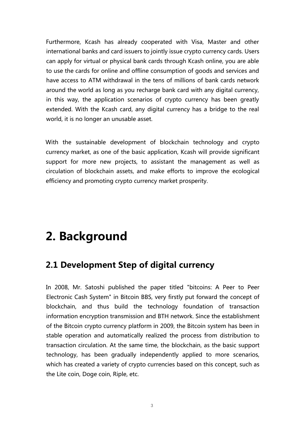Furthermore, Kcash has already cooperated with Visa, Master and other international banks and card issuers to jointly issue crypto currency cards. Users can apply for virtual or physical bank cards through Kcash online, you are able to use the cards for online and offline consumption of goods and services and have access to ATM withdrawal in the tens of millions of bank cards network around the world as long as you recharge bank card with any digital currency, in this way, the application scenarios of crypto currency has been greatly extended. With the Kcash card, any digital currency has a bridge to the real world, it is no longer an unusable asset.

With the sustainable development of blockchain technology and crypto currency market, as one of the basic application, Kcash will provide significant support for more new projects, to assistant the management as well as circulation of blockchain assets, and make efforts to improve the ecological efficiency and promoting crypto currency market prosperity.

## <span id="page-3-0"></span>**2. Background**

## <span id="page-3-1"></span>**2.1 Development Step of digital currency**

In 2008, Mr. Satoshi published the paper titled "bitcoins: A Peer to Peer Electronic Cash System" in Bitcoin BBS, very firstly put forward the concept of blockchain, and thus build the technology foundation of transaction information encryption transmission and BTH network. Since the establishment of the Bitcoin crypto currency platform in 2009, the Bitcoin system has been in stable operation and automatically realized the process from distribution to transaction circulation. At the same time, the blockchain, as the basic support technology, has been gradually independently applied to more scenarios, which has created a variety of crypto currencies based on this concept, such as the Lite coin, Doge coin, Riple, etc.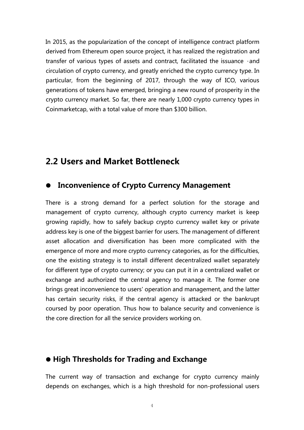In 2015, as the popularization of the concept of intelligence contract platform derived from Ethereum open source project, it has realized the registration and transfer of various types of assets and contract, facilitated the issuance · and circulation of crypto currency, and greatly enriched the crypto currency type. In particular, from the beginning of 2017, through the way of ICO, various generations of tokens have emerged, bringing a new round of prosperity in the crypto currency market. So far, there are nearly 1,000 crypto currency types in Coinmarketcap, with a total value of more than \$300 billion.

#### <span id="page-4-0"></span>**2.2 Users and Market Bottleneck**

#### **Inconvenience of Crypto Currency Management**

There is a strong demand for a perfect solution for the storage and management of crypto currency, although crypto currency market is keep growing rapidly, how to safely backup crypto currency wallet key or private address key is one of the biggest barrier for users. The management of different asset allocation and diversification has been more complicated with the emergence of more and more crypto currency categories, as for the difficulties, one the existing strategy is to install different decentralized wallet separately for different type of crypto currency; or you can put it in a centralized wallet or exchange and authorized the central agency to manage it. The former one brings great inconvenience to users' operation and management, and the latter has certain security risks, if the central agency is attacked or the bankrupt coursed by poor operation. Thus how to balance security and convenience is the core direction for all the service providers working on.

#### **High Thresholds for Trading and Exchange**

The current way of transaction and exchange for crypto currency mainly depends on exchanges, which is a high threshold for non-professional users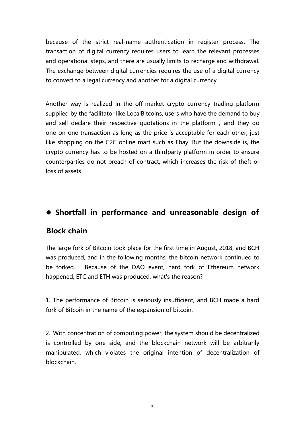because of the strict real-name authentication in register process. The transaction of digital currency requires users to learn the relevant processes and operational steps, and there are usually limits to recharge and withdrawal. The exchange between digital currencies requires the use of a digital currency to convert to a legal currency and another for a digital currency.

Another way is realized in the off-market crypto currency trading platform supplied by the facilitator like LocalBitcoins, users who have the demand to buy and sell declare their respective quotations in the platform , and they do one-on-one transaction as long as the price is acceptable for each other, just like shopping on the C2C online mart such as Ebay. But the downside is, the crypto currency has to be hosted on a thirdparty platform in order to ensure counterparties do not breach of contract, which increases the risk of theft or loss of assets.

#### **Shortfall in performance and unreasonable design of**

#### **Block chain**

The large fork of Bitcoin took place for the first time in August, 2018, and BCH was produced, and in the following months, the bitcoin network continued to be forked. Because of the DAO event, hard fork of Ethereum network happened, ETC and ETH was produced, what's the reason?

1. The performance of Bitcoin is seriously insufficient, and BCH made a hard fork of Bitcoin in the name of the expansion of bitcoin.

2. With concentration of computing power, the system should be decentralized is controlled by one side, and the blockchain network will be arbitrarily manipulated, which violates the original intention of decentralization of blockchain.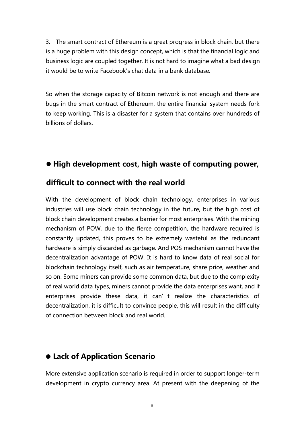3. The smart contract of Ethereum is a great progress in block chain, but there is a huge problem with this design concept, which is that the financial logic and business logic are coupled together. It is not hard to imagine what a bad design it would be to write Facebook's chat data in a bank database.

So when the storage capacity of Bitcoin network is not enough and there are bugs in the smart contract of Ethereum, the entire financial system needs fork to keep working. This is a disaster for a system that contains over hundreds of billions of dollars.

#### **High development cost, high waste ofcomputing power,**

#### **difficult to connect with the real world**

With the development of block chain technology, enterprises in various industries will use block chain technology in the future, but the high cost of block chain development creates a barrier for most enterprises. With the mining mechanism of POW, due to the fierce competition, the hardware required is constantly updated, this proves to be extremely wasteful as the redundant hardware is simply discarded as garbage. And POS mechanism cannot have the decentralization advantage of POW. It is hard to know data of real social for blockchain technology itself, such as air temperature, share price, weather and so on. Some miners can provide some common data, but due to the complexity of real world data types, miners cannot provide the data enterprises want, and if enterprises provide these data, it can't realize the characteristics of decentralization, it is difficult to convince people, this will result in the difficulty of connection between block and real world.

#### **Lack of Application Scenario**

More extensive application scenario is required in order to support longer-term development in crypto currency area. At present with the deepening of the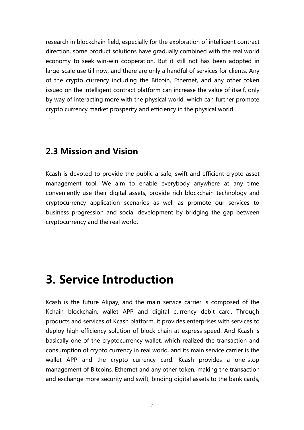research in blockchain field, especially for the exploration of intelligent contract direction, some product solutions have gradually combined with the real world economy to seek win-win cooperation. But it still not has been adopted in large-scale use till now, and there are only a handful of services for clients. Any of the crypto currency including the Bitcoin, Ethernet, and any other token issued on the intelligent contract platform can increase the value of itself, only by way of interacting more with the physical world, which can further promote crypto currency market prosperity and efficiency in the physical world.

#### <span id="page-7-0"></span>**2.3 Mission and Vision**

Kcash is devoted to provide the public a safe, swift and efficient crypto asset management tool. We aim to enable everybody anywhere at any time conveniently use their digital assets, provide rich blockchain technology and cryptocurrency application scenarios as well as promote our services to business progression and social development by bridging the gap between cryptocurrency and the real world.

## <span id="page-7-1"></span>**3. Service Introduction**

Kcash is the future Alipay, and the main service carrier is composed of the Kchain blockchain, wallet APP and digital currency debit card. Through products and services of Kcash platform, it provides enterprises with services to deploy high-efficiency solution of block chain at express speed. And Kcash is basically one of the cryptocurrency wallet, which realized the transaction and consumption of crypto currency in real world, and its main service carrier is the wallet APP and the crypto currency card. Kcash provides a one-stop management of Bitcoins, Ethernet and any other token, making the transaction and exchange more security and swift, binding digital assets to the bank cards,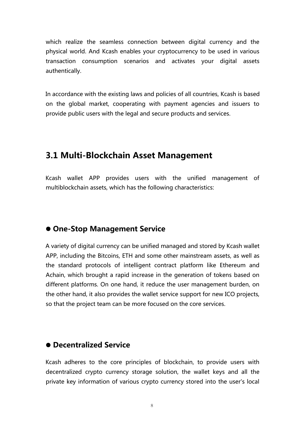which realize the seamless connection between digital currency and the physical world. And Kcash enables your cryptocurrency to be used in various transaction consumption scenarios and activates your digital assets authentically.

In accordance with the existing laws and policies of all countries, Kcash is based on the global market, cooperating with payment agencies and issuers to provide public users with the legal and secure products and services.

#### <span id="page-8-0"></span>**3.1 Multi-Blockchain Asset Management**

Kcash wallet APP provides users with the unified management of multiblockchain assets, which has the following characteristics:

#### **One-Stop Management Service**

A variety of digital currency can be unified managed and stored by Kcash wallet APP, including the Bitcoins, ETH and some other mainstream assets, as well as the standard protocols of intelligent contract platform like Ethereum and Achain, which brought a rapid increase in the generation of tokens based on different platforms. On one hand, it reduce the user management burden, on the other hand, it also provides the wallet service support for new ICO projects, so that the project team can be more focused on the core services.

#### **Decentralized Service**

Kcash adheres to the core principles of blockchain, to provide users with decentralized crypto currency storage solution, the wallet keys and all the private key information of various crypto currency stored into the user's local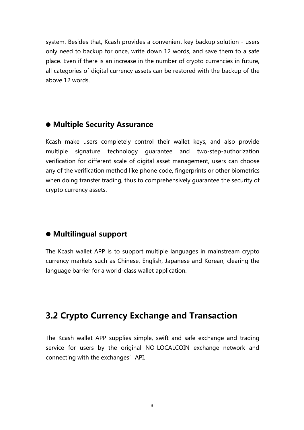system. Besides that, Kcash provides a convenient key backup solution - users only need to backup for once, write down 12 words, and save them to a safe place. Even if there is an increase in the number of crypto currencies in future, all categories of digital currency assets can be restored with the backup of the above 12 words.

#### **Multiple Security Assurance**

Kcash make users completely control their wallet keys, and also provide multiple signature technology guarantee and two-step-authorization verification for different scale of digital asset management, users can choose any of the verification method like phone code, fingerprints or other biometrics when doing transfer trading, thus to comprehensively guarantee the security of crypto currency assets.

#### **Multilingual support**

The Kcash wallet APP is to support multiple languages in mainstream crypto currency markets such as Chinese, English, Japanese and Korean, clearing the language barrier for a world-class wallet application.

## <span id="page-9-0"></span>**3.2 Crypto Currency Exchange and Transaction**

The Kcash wallet APP supplies simple, swift and safe exchange and trading service for users by the original NO-LOCALCOIN exchange network and connecting with the exchanges'API.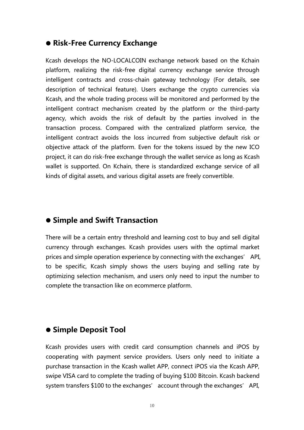#### **Risk-Free Currency Exchange**

Kcash develops the NO-LOCALCOIN exchange network based on the Kchain platform, realizing the risk-free digital currency exchange service through intelligent contracts and cross-chain gateway technology (For details, see description of technical feature). Users exchange the crypto currencies via Kcash, and the whole trading process will be monitored and performed by the intelligent contract mechanism created by the platform or the third-party agency, which avoids the risk of default by the parties involved in the transaction process. Compared with the centralized platform service, the intelligent contract avoids the loss incurred from subjective default risk or objective attack of the platform. Even for the tokens issued by the new ICO project, it can do risk-free exchange through the wallet service as long as Kcash wallet is supported. On Kchain, there is standardized exchange service of all kinds of digital assets, and various digital assets are freely convertible.

#### **Simple and Swift Transaction**

There will be a certain entry threshold and learning cost to buy and sell digital currency through exchanges. Kcash provides users with the optimal market prices and simple operation experience by connecting with the exchanges' API, to be specific, Kcash simply shows the users buying and selling rate by optimizing selection mechanism, and users only need to input the number to complete the transaction like on ecommerce platform.

#### **Simple Deposit Tool**

Kcash provides users with credit card consumption channels and iPOS by cooperating with payment service providers. Users only need to initiate a purchase transaction in the Kcash wallet APP, connect iPOS via the Kcash APP, swipe VISA card to complete the trading of buying \$100 Bitcoin. Kcash backend system transfers \$100 to the exchanges' account through the exchanges' API,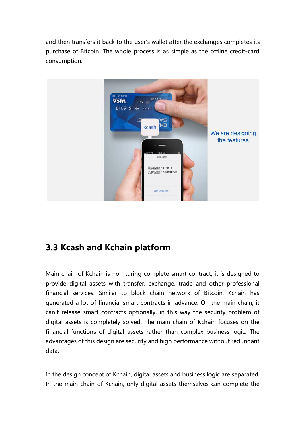and then transfers it back to the user's wallet after the exchanges completes its purchase of Bitcoin. The whole process is as simple as the offline credit-card consumption.



## <span id="page-11-0"></span>**3.3 Kcash and Kchain platform**

Main chain of Kchain is non-turing-complete smart contract, it is designed to provide digital assets with transfer, exchange, trade and other professional financial services. Similar to block chain network of Bitcoin, Kchain has generated a lot of financial smart contracts in advance. On the main chain, it can't release smart contracts optionally, in this way the security problem of digital assets is completely solved. The main chain of Kchain focuses on the financial functions of digital assets rather than complex business logic. The advantages of this design are security and high performance without redundant data.

In the design concept of Kchain, digital assets and business logic are separated. In the main chain of Kchain, only digital assets themselves can complete the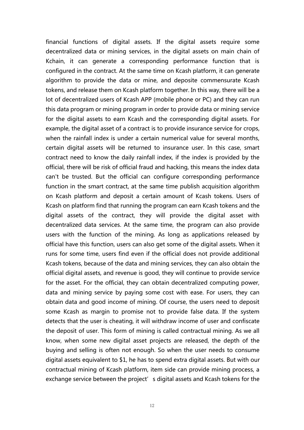financial functions of digital assets. If the digital assets require some decentralized data or mining services, in the digital assets on main chain of Kchain, it can generate a corresponding performance function that is configured in the contract. At the same time on Kcash platform, it can generate algorithm to provide the data or mine, and deposite commensurate Kcash tokens, and release them on Kcash platform together. In this way, there will be a lot of decentralized users of Kcash APP (mobile phone or PC) and they can run this data program or mining program in order to provide data or mining service for the digital assets to earn Kcash and the corresponding digital assets. For example, the digital asset of a contract is to provide insurance service for crops, when the rainfall index is under a certain numerical value for several months, certain digital assets will be returned to insurance user. In this case, smart contract need to know the daily rainfall index, if the index is provided by the official, there will be risk of official fraud and hacking, this means the index data can't be trusted. But the official can configure corresponding performance function in the smart contract, at the same time publish acquisition algorithm on Kcash platform and deposit a certain amount of Kcash tokens. Users of Kcash on platform find that running the program can earn Kcash tokens and the digital assets of the contract, they will provide the digital asset with decentralized data services. At the same time, the program can also provide users with the function of the mining. As long as applications released by official have this function, users can also get some of the digital assets. When it runs for some time, users find even if the official does not provide additional Kcash tokens, because of the data and mining services, they can also obtain the official digital assets, and revenue is good, they will continue to provide service for the asset. For the official, they can obtain decentralized computing power, data and mining service by paying some cost with ease. For users, they can obtain data and good income of mining. Of course, the users need to deposit some Kcash as margin to promise not to provide false data. If the system detects that the user is cheating, it will withdraw income of user and confiscate the deposit of user. This form of mining is called contractual mining. As we all know, when some new digital asset projects are released, the depth of the buying and selling is often not enough. So when the user needs to consume digital assets equivalent to \$1, he has to spend extra digital assets. But with our contractual mining of Kcash platform, item side can provide mining process, a exchange service between the project's digital assets and Kcash tokens for the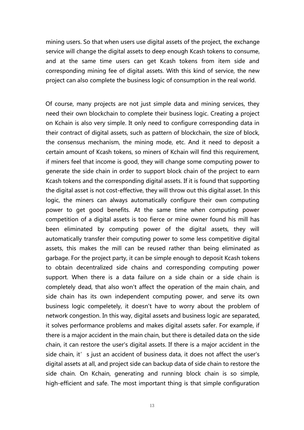mining users. So that when users use digital assets of the project, the exchange service will change the digital assets to deep enough Kcash tokens to consume, and at the same time users can get Kcash tokens from item side and corresponding mining fee of digital assets. With this kind of service, the new project can also complete the business logic of consumption in the real world.<br>Of course, many projects are not just simple data and mining services, they

need their own blockchain to complete their business logic. Creating a project on Kchain is also very simple. It only need to configure corresponding data in their contract of digital assets, such as pattern of blockchain, the size of block, the consensus mechanism, the mining mode, etc. And it need to deposit a certain amount of Kcash tokens, so miners of Kchain will find this requirement, if miners feel that income is good, they will change some computing power to generate the side chain in order to support block chain of the project to earn Kcash tokens and the corresponding digital assets. If it is found that supporting the digital asset is not cost-effective, they will throw out this digital asset. In this logic, the miners can always automatically configure their own computing power to get good benefits. At the same time when computing power competition of a digital assets is too fierce or mine owner found his mill has been eliminated by computing power of the digital assets, they will automatically transfer their computing power to some less competitive digital assets, this makes the mill can be reused rather than being eliminated as garbage. For the project party, it can be simple enough to deposit Kcash tokens to obtain decentralized side chains and corresponding computing power support. When there is a data failure on a side chain or a side chain is completely dead, that also won't affect the operation of the main chain, and side chain has its own independent computing power, and serve its own business logic compeletely, it doesn't have to worry about the problem of network congestion.In this way, digital assets and business logic are separated, it solves performance problems and makes digital assets safer. For example, if there is a major accident in the main chain, but there is detailed data on the side chain, it can restore the user's digital assets. If there is a major accident in the side chain, it' s just an accident of business data, it does not affect the user's digital assets at all, and project side can backup data of side chain to restore the side chain. On Kchain, generating and running block chain is so simple, high-efficient and safe. The most important thing is that simple configuration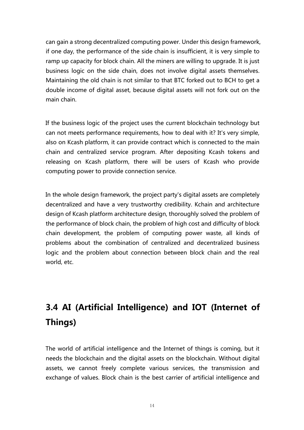can gain a strong decentralized computing power. Under this design framework, if one day, the performance of the side chain is insufficient, it is very simple to ramp up capacity for block chain. All the miners are willing to upgrade. It is just business logic on the side chain, does not involve digital assets themselves. Maintaining the old chain is not similar to that BTC forked out to BCH to get a double income of digital asset, because digital assets will not fork out on the main chain.

If the business logic of the project uses the current blockchain technology but can not meets performance requirements, how to deal with it? It's very simple, also on Kcash platform, it can provide contract which is connected to the main chain and centralized service program. After depositing Kcash tokens and releasing on Kcash platform, there will be users of Kcash who provide computing power to provide connection service.

In the whole design framework, the project party's digital assets are completely decentralized and have a very trustworthy credibility. Kchain and architecture design of Kcash platform architecture design, thoroughly solved the problem of the performance of block chain, the problem of high cost and difficulty of block chain development, the problem of computing power waste, all kinds of problems about the combination of centralized and decentralized business logic and the problem about connection between block chain and the real world, etc.

## <span id="page-14-0"></span>**3.4 AI (Artificial Intelligence) and IOT (Internet of Things)**

The world of artificial intelligence and the Internet of things is coming, but it needs the blockchain and the digital assets on the blockchain. Without digital assets, we cannot freely complete various services, the transmission and exchange of values. Block chain is the best carrier of artificial intelligence and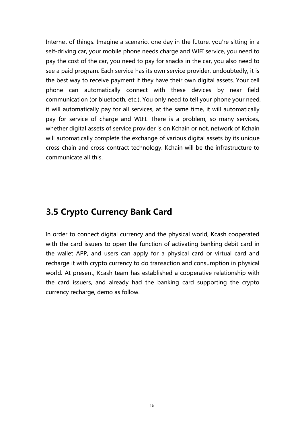Internet of things. Imagine a scenario, one day in the future, you're sitting in a self-driving car, your mobile phone needs charge and WIFI service, you need to pay the cost of the car, you need to pay for snacks in the car, you also need to see a paid program. Each service has its own service provider, undoubtedly, it is the best way to receive payment if they have their own digital assets. Your cell phone can automatically connect with these devices by near field communication (or bluetooth, etc.). You only need to tell your phone your need, it will automatically pay for all services, at the same time, it will automatically pay for service of charge and WIFI. There is a problem, so many services, whether digital assets of service provider is on Kchain or not, network of Kchain will automatically complete the exchange of various digital assets by its unique cross-chain and cross-contract technology. Kchain will be the infrastructure to communicate all this.

### <span id="page-15-0"></span>**3.5 Crypto Currency Bank Card**

In order to connect digital currency and the physical world, Kcash cooperated with the card issuers to open the function of activating banking debit card in the wallet APP, and users can apply for a physical card or virtual card and recharge it with crypto currency to do transaction and consumption in physical world. At present, Kcash team has established a cooperative relationship with the card issuers, and already had the banking card supporting the crypto currency recharge, demo as follow.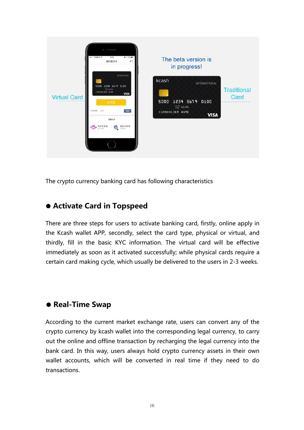

The crypto currency banking card has following characteristics

#### **Activate Card in Topspeed**

There are three steps for users to activate banking card, firstly, online apply in the Kcash wallet APP, secondly, select the card type, physical or virtual, and thirdly, fill in the basic KYC information. The virtual card will be effective immediately as soon as it activated successfully; while physical cards require a certain card making cycle, which usually be delivered to the users in 2-3 weeks.

#### **Real-Time Swap**

According to the current market exchange rate, users can convert any of the crypto currency by kcash wallet into the corresponding legal currency, to carry out the online and offline transaction by recharging the legal currency into the bank card. In this way, users always hold crypto currency assets in their own wallet accounts, which will be converted in real time if they need to do transactions.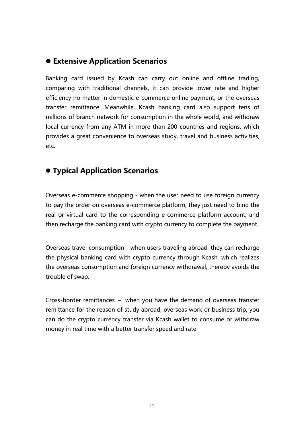#### **Extensive Application Scenarios**

Banking card issued by Kcash can carry out online and offline trading, comparing with traditional channels, it can provide lower rate and higher efficiency no matter in domestic e-commerce online payment, or the overseas transfer remittance. Meanwhile, Kcash banking card also support tens of millions of branch network for consumption in the whole world, and withdraw local currency from any ATM in more than 200 countries and regions, which provides a great convenience to overseas study, travel and business activities, etc.

### **Typical Application Scenarios**

Overseas e-commerce shopping - when the user need to use foreign currency to pay the order on overseas e-commerce platform, they just need to bind the real or virtual card to the corresponding e-commerce platform account, and then recharge the banking card with crypto currency to complete the payment.

Overseas travel consumption - when users traveling abroad, they can recharge the physical banking card with crypto currency through Kcash, which realizes the overseas consumption and foreign currency withdrawal, thereby avoids the trouble of swap.

Cross-border remittances – when you have the demand of overseas transfer remittance for the reason of study abroad, overseas work or business trip, you can do the crypto currency transfer via Kcash wallet to consume or withdraw money in real time with a better transfer speed and rate.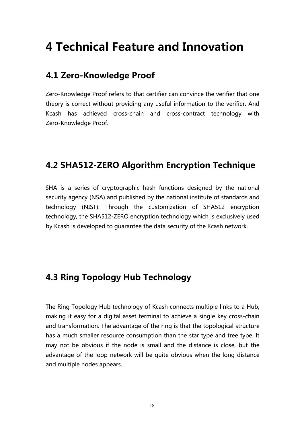## <span id="page-18-0"></span>**4 Technical Feature and Innovation**

### **4.1 Zero-Knowledge Proof**

Zero-Knowledge Proof refers to that certifier can convince the verifier that one theory is correct without providing any useful information to the verifier. And Kcash has achieved cross-chain and cross-contract technology with Zero-Knowledge Proof.

## <span id="page-18-1"></span>**4.2 SHA512-ZERO Algorithm Encryption Technique**

SHA is a series of cryptographic hash functions designed by the national security agency (NSA) and published by the national institute of standards and technology (NIST). Through the customization of SHA512 encryption technology, the SHA512-ZERO encryption technology which is exclusively used by Kcash is developed to guarantee the data security of the Kcash network.

## <span id="page-18-2"></span>**4.3 Ring Topology Hub Technology**

The Ring Topology Hub technology of Kcash connects multiple links to a Hub, making it easy for a digital asset terminal to achieve a single key cross-chain and transformation. The advantage of the ring is that the topological structure has a much smaller resource consumption than the star type and tree type. It may not be obvious if the node is small and the distance is close, but the advantage of the loop network will be quite obvious when the long distance and multiple nodes appears.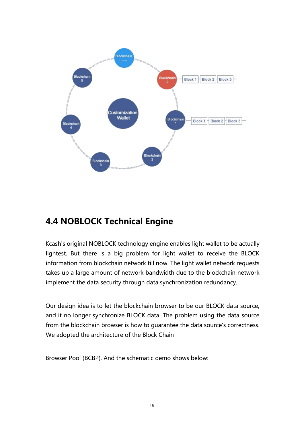

## <span id="page-19-0"></span>**4.4 NOBLOCK Technical Engine**

Kcash's original NOBLOCK technology engine enables light wallet to be actually lightest. But there is a big problem for light wallet to receive the BLOCK information from blockchain network till now. The light wallet network requests takes up a large amount of network bandwidth due to the blockchain network implement the data security through data synchronization redundancy.

Our design idea is to let the blockchain browser to be our BLOCK data source, and it no longer synchronize BLOCK data. The problem using the data source from the blockchain browser is how to guarantee the data source's correctness. We adopted the architecture of the Block Chain

Browser Pool (BCBP). And the schematic demo shows below: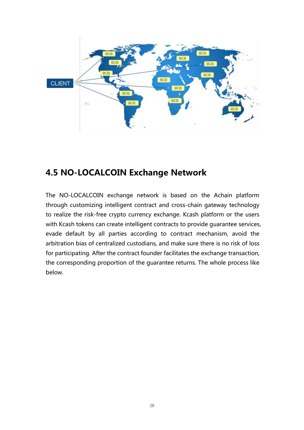

## <span id="page-20-0"></span>**4.5 NO-LOCALCOIN Exchange Network**

The NO-LOCALCOIN exchange network is based on the Achain platform through customizing intelligent contract and cross-chain gateway technology to realize the risk-free crypto currency exchange. Kcash platform or the users with Kcash tokens can create intelligent contracts to provide guarantee services, evade default by all parties according to contract mechanism, avoid the arbitration bias of centralized custodians, and make sure there is no risk of loss for participating. After the contract founder facilitates the exchange transaction, the corresponding proportion of the guarantee returns. The whole process like below.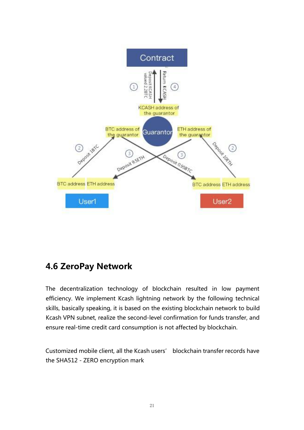

## <span id="page-21-0"></span>**4.6 ZeroPay Network**

The decentralization technology of blockchain resulted in low payment efficiency. We implement Kcash lightning network by the following technical skills, basically speaking, it is based on the existing blockchain network to build Kcash VPN subnet, realize the second-level confirmation for funds transfer, and ensure real-time credit card consumption is not affected by blockchain.

Customized mobile client, all the Kcash users' blockchain transfer records have the SHA512 - ZERO encryption mark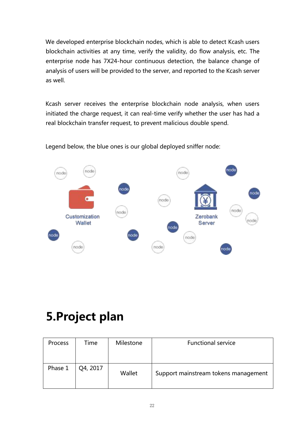We developed enterprise blockchain nodes, which is able to detect Kcash users blockchain activities at any time, verify the validity, do flow analysis, etc. The enterprise node has 7X24-hour continuous detection, the balance change of analysis of users will be provided to the server, and reported to the Kcash server as well.

Kcash server receives the enterprise blockchain node analysis, when users initiated the charge request, it can real-time verify whether the user has had a real blockchain transfer request, to prevent malicious double spend.



Legend below, the blue ones is our global deployed sniffer node:

## <span id="page-22-0"></span>**5.Project plan**

| Process | Time     | Milestone | <b>Functional service</b>            |
|---------|----------|-----------|--------------------------------------|
| Phase 1 | Q4, 2017 | Wallet    | Support mainstream tokens management |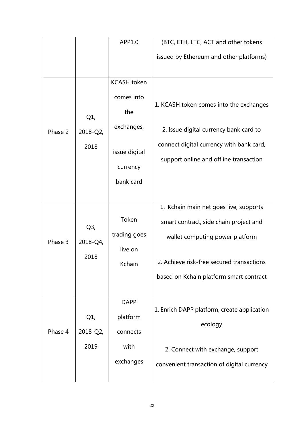|         |          | APP1.0             | (BTC, ETH, LTC, ACT and other tokens        |
|---------|----------|--------------------|---------------------------------------------|
|         |          |                    |                                             |
|         |          |                    | issued by Ethereum and other platforms)     |
|         |          |                    |                                             |
|         |          | <b>KCASH</b> token |                                             |
|         |          | comes into         |                                             |
|         |          | the                | 1. KCASH token comes into the exchanges     |
|         | $Q1$ ,   |                    |                                             |
| Phase 2 | 2018-Q2, | exchanges,         | 2. Issue digital currency bank card to      |
|         | 2018     |                    | connect digital currency with bank card,    |
|         |          | issue digital      | support online and offline transaction      |
|         |          | currency           |                                             |
|         |          | bank card          |                                             |
|         |          |                    |                                             |
|         |          |                    | 1. Kchain main net goes live, supports      |
|         |          | Token              | smart contract, side chain project and      |
|         | $Q3$ ,   | trading goes       | wallet computing power platform             |
| Phase 3 | 2018-Q4, | live on            |                                             |
|         | 2018     |                    | 2. Achieve risk-free secured transactions   |
|         |          | Kchain             |                                             |
|         |          |                    | based on Kchain platform smart contract     |
|         |          |                    |                                             |
|         |          | <b>DAPP</b>        | 1. Enrich DAPP platform, create application |
|         | $Q1$ ,   | platform           |                                             |
| Phase 4 | 2018-Q2, | connects           | ecology                                     |
|         | 2019     | with               |                                             |
|         |          |                    | 2. Connect with exchange, support           |
|         |          | exchanges          | convenient transaction of digital currency  |
|         |          |                    |                                             |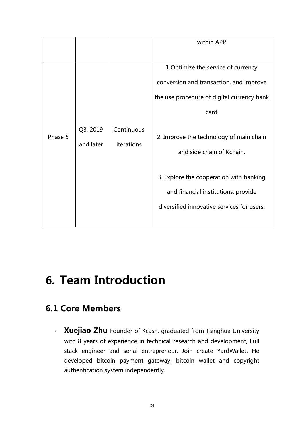|         |                       |                          | within APP                                                                                                                                                                                                   |
|---------|-----------------------|--------------------------|--------------------------------------------------------------------------------------------------------------------------------------------------------------------------------------------------------------|
| Phase 5 | Q3, 2019<br>and later | Continuous<br>iterations | 1. Optimize the service of currency<br>conversion and transaction, and improve<br>the use procedure of digital currency bank<br>card<br>2. Improve the technology of main chain<br>and side chain of Kchain. |
|         |                       |                          | 3. Explore the cooperation with banking<br>and financial institutions, provide<br>diversified innovative services for users.                                                                                 |

## <span id="page-24-0"></span>**6. Team Introduction**

## <span id="page-24-1"></span>**6.1 Core Members**

• **Xuejiao Zhu** Founder of Kcash, graduated from Tsinghua University with 8 years of experience in technical research and development, Full stack engineer and serial entrepreneur. Join create YardWallet. He developed bitcoin payment gateway, bitcoin wallet and copyright authentication system independently.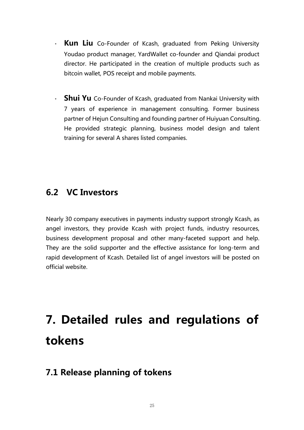- **Kun Liu** Co-Founder of Kcash, graduated from Peking University Youdao product manager, YardWallet co-founder and Qiandai product director. He participated in the creation of multiple products such as bitcoin wallet, POS receipt and mobile payments.
- **Shui Yu** Co-Founder of Kcash, graduated from Nankai University with 7 years of experience in management consulting. Former business partner of Hejun Consulting and founding partner of Huiyuan Consulting. He provided strategic planning, business model design and talent training for several A shares listed companies.

### <span id="page-25-0"></span>**6.2 VC Investors**

Nearly 30 company executives in payments industry support strongly Kcash, as angel investors, they provide Kcash with project funds, industry resources, business development proposal and other many-faceted support and help. They are the solid supporter and the effective assistance for long-term and rapid development of Kcash. Detailed list of angel investors will be posted on official website.

# <span id="page-25-1"></span>**7. Detailed rules and regulations of tokens**

## <span id="page-25-2"></span>**7.1 Release planning of tokens**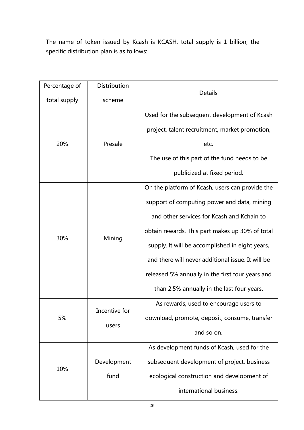The name of token issued by Kcash is KCASH, total supply is 1 billion, the specific distribution plan is as follows:

|    | Percentage of | Distribution                                  |                                                   |
|----|---------------|-----------------------------------------------|---------------------------------------------------|
|    | total supply  | scheme                                        | <b>Details</b>                                    |
|    |               | Used for the subsequent development of Kcash  |                                                   |
|    |               | Presale                                       | project, talent recruitment, market promotion,    |
|    | 20%           |                                               | etc.                                              |
|    |               |                                               | The use of this part of the fund needs to be      |
|    |               |                                               | publicized at fixed period.                       |
|    |               |                                               | On the platform of Kcash, users can provide the   |
|    |               | Mining                                        | support of computing power and data, mining       |
|    |               |                                               | and other services for Kcash and Kchain to        |
|    |               |                                               | obtain rewards. This part makes up 30% of total   |
|    | 30%           |                                               | supply. It will be accomplished in eight years,   |
|    |               |                                               | and there will never additional issue. It will be |
|    |               |                                               | released 5% annually in the first four years and  |
|    |               |                                               | than 2.5% annually in the last four years.        |
|    |               |                                               | As rewards, used to encourage users to            |
| 5% | Incentive for | download, promote, deposit, consume, transfer |                                                   |
|    | users         | and so on.                                    |                                                   |
|    |               |                                               | As development funds of Kcash, used for the       |
|    |               | Development                                   | subsequent development of project, business       |
|    | 10%           | fund                                          | ecological construction and development of        |
|    |               |                                               | international business.                           |
|    |               |                                               |                                                   |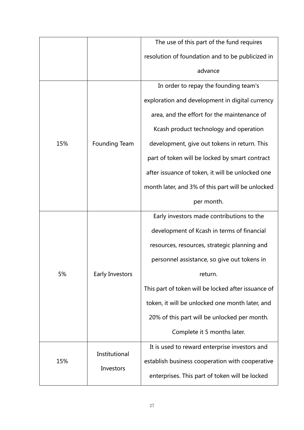|     |                            | The use of this part of the fund requires           |
|-----|----------------------------|-----------------------------------------------------|
|     |                            | resolution of foundation and to be publicized in    |
|     |                            | advance                                             |
|     |                            | In order to repay the founding team's               |
|     |                            | exploration and development in digital currency     |
|     |                            | area, and the effort for the maintenance of         |
|     |                            | Kcash product technology and operation              |
| 15% | Founding Team              | development, give out tokens in return. This        |
|     |                            | part of token will be locked by smart contract      |
|     |                            | after issuance of token, it will be unlocked one    |
|     |                            | month later, and 3% of this part will be unlocked   |
|     |                            | per month.                                          |
|     | Early Investors            | Early investors made contributions to the           |
|     |                            | development of Kcash in terms of financial          |
|     |                            | resources, resources, strategic planning and        |
|     |                            | personnel assistance, so give out tokens in         |
| 5%  |                            | return.                                             |
|     |                            | This part of token will be locked after issuance of |
|     |                            | token, it will be unlocked one month later, and     |
|     |                            | 20% of this part will be unlocked per month.        |
|     |                            | Complete it 5 months later.                         |
|     |                            | It is used to reward enterprise investors and       |
| 15% | Institutional<br>Investors | establish business cooperation with cooperative     |
|     |                            | enterprises. This part of token will be locked      |
|     |                            |                                                     |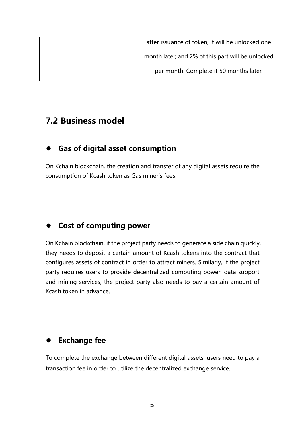| after issuance of token, it will be unlocked one  |
|---------------------------------------------------|
| month later, and 2% of this part will be unlocked |
| per month. Complete it 50 months later.           |

### <span id="page-28-0"></span>**7.2 Business model**

#### **Gas of digital asset consumption**

On Kchain blockchain, the creation and transfer of any digital assets require the consumption of Kcash token as Gas miner's fees.

### **Cost of computing power**

On Kchain blockchain, if the project party needs to generate a side chain quickly, they needs to deposit a certain amount of Kcash tokens into the contract that configures assets of contract in order to attract miners. Similarly, if the project party requires users to provide decentralized computing power, data support and mining services, the project party also needs to pay a certain amount of Kcash token in advance.

## **Exchange fee**

To complete the exchange between different digital assets, users need to paya transaction fee in order to utilize the decentralized exchange service.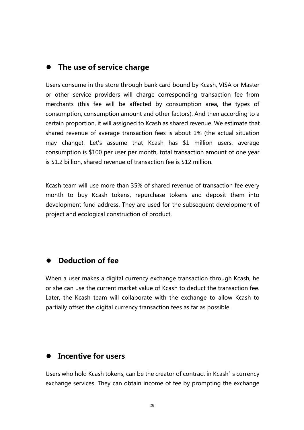#### **The use of service charge**

Users consume in the store through bank card bound by Kcash, VISA or Master or other service providers will charge corresponding transaction fee from merchants (this fee will be affected by consumption area, the types of consumption, consumption amount and other factors). And then according to a certain proportion, it will assigned to Kcash as shared revenue. We estimate that shared revenue of average transaction fees is about 1% (the actual situation may change). Let's assume that Kcash has \$1 million users, average consumption is \$100 per user per month, total transaction amount of one year is \$1.2 billion, shared revenue of transaction fee is \$12 million.

Kcash team will use more than 35% of shared revenue of transaction fee every month to buy Kcash tokens, repurchase tokens and deposit them into development fund address. They are used for the subsequent development of project and ecological construction of product.

#### **Deduction of fee**

When a user makes a digital currency exchange transaction through Kcash, he or she can use the current market value of Kcash to deduct the transaction fee. Later, the Kcash team will collaborate with the exchange to allow Kcash to partially offset the digital currency transaction fees as far as possible.

#### **Incentive for users**

Users who hold Kcash tokens, can be the creator of contract in Kcash's currency exchange services. They can obtain income of fee by prompting the exchange